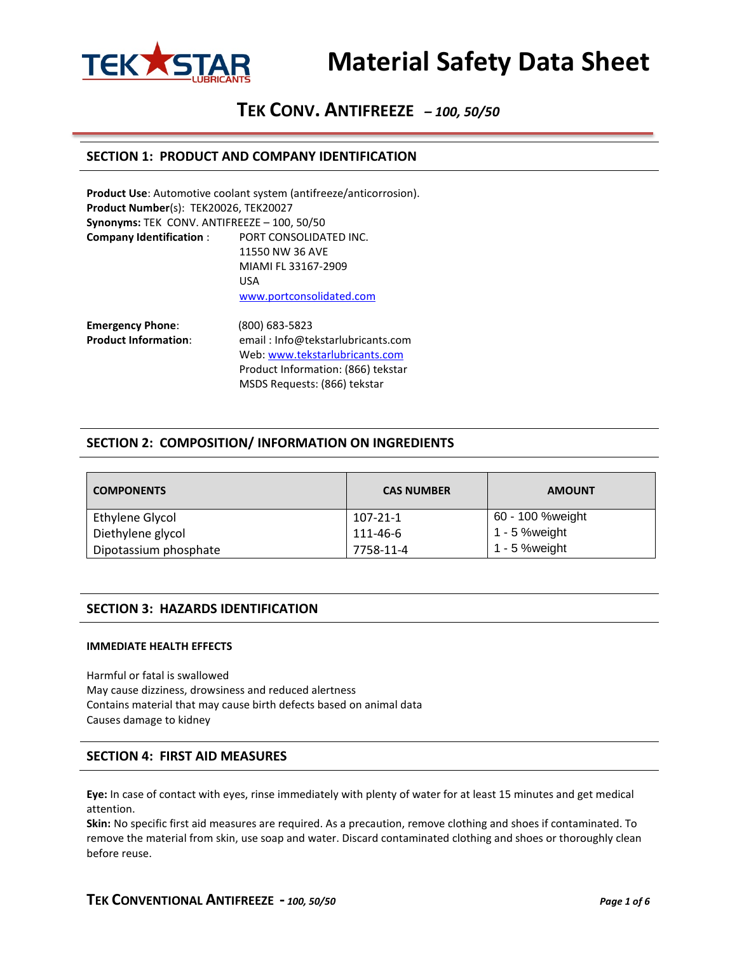

# **TEK CONV. ANTIFREEZE** *– 100, 50/50*

## **SECTION 1: PRODUCT AND COMPANY IDENTIFICATION**

|                                             | <b>Product Use:</b> Automotive coolant system (antifreeze/anticorrosion). |
|---------------------------------------------|---------------------------------------------------------------------------|
| Product Number(s): TEK20026, TEK20027       |                                                                           |
| Synonyms: TEK CONV. ANTIFREEZE - 100, 50/50 |                                                                           |
| <b>Company Identification:</b>              | PORT CONSOLIDATED INC.                                                    |
|                                             | 11550 NW 36 AVF                                                           |
|                                             | MIAMI FL 33167-2909                                                       |
|                                             | USA                                                                       |
|                                             | www.portconsolidated.com                                                  |
| <b>Emergency Phone:</b>                     | (800) 683-5823                                                            |
| <b>Product Information:</b>                 | email: Info@tekstarlubricants.com                                         |
|                                             | Web: www.tekstarlubricants.com                                            |

# **SECTION 2: COMPOSITION/ INFORMATION ON INGREDIENTS**

Product Information: (866) tekstar MSDS Requests: (866) tekstar

| <b>COMPONENTS</b>     | <b>CAS NUMBER</b> | <b>AMOUNT</b>    |
|-----------------------|-------------------|------------------|
| Ethylene Glycol       | 107-21-1          | 60 - 100 %weight |
| Diethylene glycol     | 111-46-6          | 1 - 5 %weight    |
| Dipotassium phosphate | 7758-11-4         | $1 - 5$ % weight |

### **SECTION 3: HAZARDS IDENTIFICATION**

#### **IMMEDIATE HEALTH EFFECTS**

Harmful or fatal is swallowed May cause dizziness, drowsiness and reduced alertness Contains material that may cause birth defects based on animal data Causes damage to kidney

### **SECTION 4: FIRST AID MEASURES**

**Eye:** In case of contact with eyes, rinse immediately with plenty of water for at least 15 minutes and get medical attention.

**Skin:** No specific first aid measures are required. As a precaution, remove clothing and shoes if contaminated. To remove the material from skin, use soap and water. Discard contaminated clothing and shoes or thoroughly clean before reuse.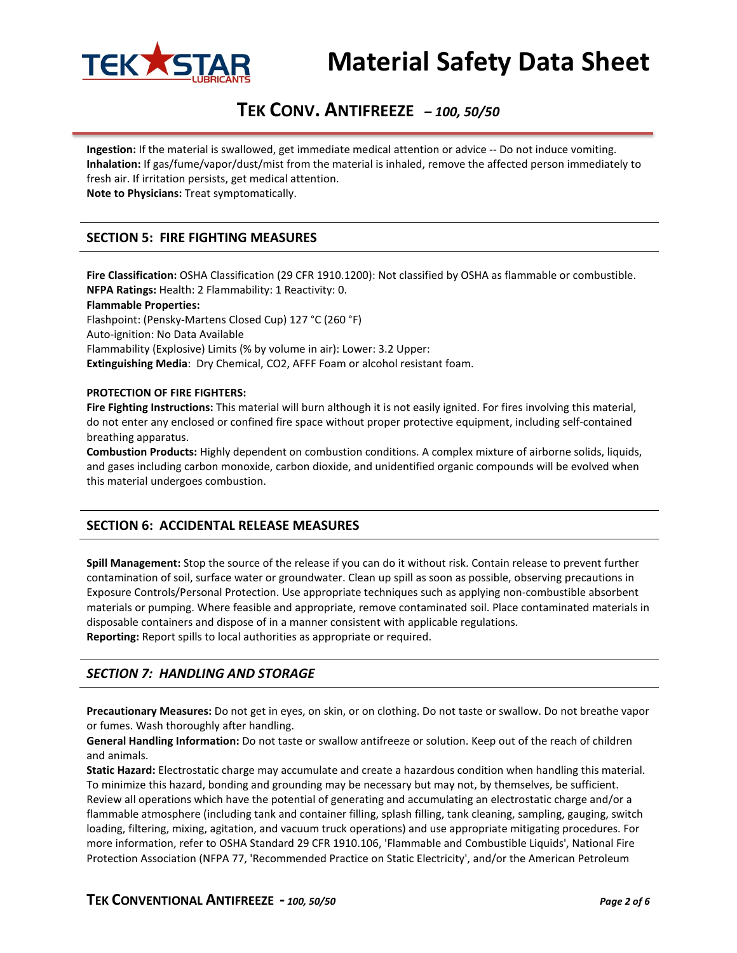

# **TEK CONV. ANTIFREEZE** *– 100, 50/50*

**Ingestion:** If the material is swallowed, get immediate medical attention or advice -- Do not induce vomiting. **Inhalation:** If gas/fume/vapor/dust/mist from the material is inhaled, remove the affected person immediately to fresh air. If irritation persists, get medical attention. **Note to Physicians:** Treat symptomatically.

# **SECTION 5: FIRE FIGHTING MEASURES**

**Fire Classification:** OSHA Classification (29 CFR 1910.1200): Not classified by OSHA as flammable or combustible. **NFPA Ratings:** Health: 2 Flammability: 1 Reactivity: 0.

#### **Flammable Properties:**

Flashpoint: (Pensky-Martens Closed Cup) 127 °C (260 °F)

Auto-ignition: No Data Available

Flammability (Explosive) Limits (% by volume in air): Lower: 3.2 Upper:

**Extinguishing Media**: Dry Chemical, CO2, AFFF Foam or alcohol resistant foam.

#### **PROTECTION OF FIRE FIGHTERS:**

**Fire Fighting Instructions:** This material will burn although it is not easily ignited. For fires involving this material, do not enter any enclosed or confined fire space without proper protective equipment, including self-contained breathing apparatus.

**Combustion Products:** Highly dependent on combustion conditions. A complex mixture of airborne solids, liquids, and gases including carbon monoxide, carbon dioxide, and unidentified organic compounds will be evolved when this material undergoes combustion.

# **SECTION 6: ACCIDENTAL RELEASE MEASURES**

**Spill Management:** Stop the source of the release if you can do it without risk. Contain release to prevent further contamination of soil, surface water or groundwater. Clean up spill as soon as possible, observing precautions in Exposure Controls/Personal Protection. Use appropriate techniques such as applying non-combustible absorbent materials or pumping. Where feasible and appropriate, remove contaminated soil. Place contaminated materials in disposable containers and dispose of in a manner consistent with applicable regulations. **Reporting:** Report spills to local authorities as appropriate or required.

# *SECTION 7: HANDLING AND STORAGE*

**Precautionary Measures:** Do not get in eyes, on skin, or on clothing. Do not taste or swallow. Do not breathe vapor or fumes. Wash thoroughly after handling.

**General Handling Information:** Do not taste or swallow antifreeze or solution. Keep out of the reach of children and animals.

**Static Hazard:** Electrostatic charge may accumulate and create a hazardous condition when handling this material. To minimize this hazard, bonding and grounding may be necessary but may not, by themselves, be sufficient. Review all operations which have the potential of generating and accumulating an electrostatic charge and/or a flammable atmosphere (including tank and container filling, splash filling, tank cleaning, sampling, gauging, switch loading, filtering, mixing, agitation, and vacuum truck operations) and use appropriate mitigating procedures. For more information, refer to OSHA Standard 29 CFR 1910.106, 'Flammable and Combustible Liquids', National Fire Protection Association (NFPA 77, 'Recommended Practice on Static Electricity', and/or the American Petroleum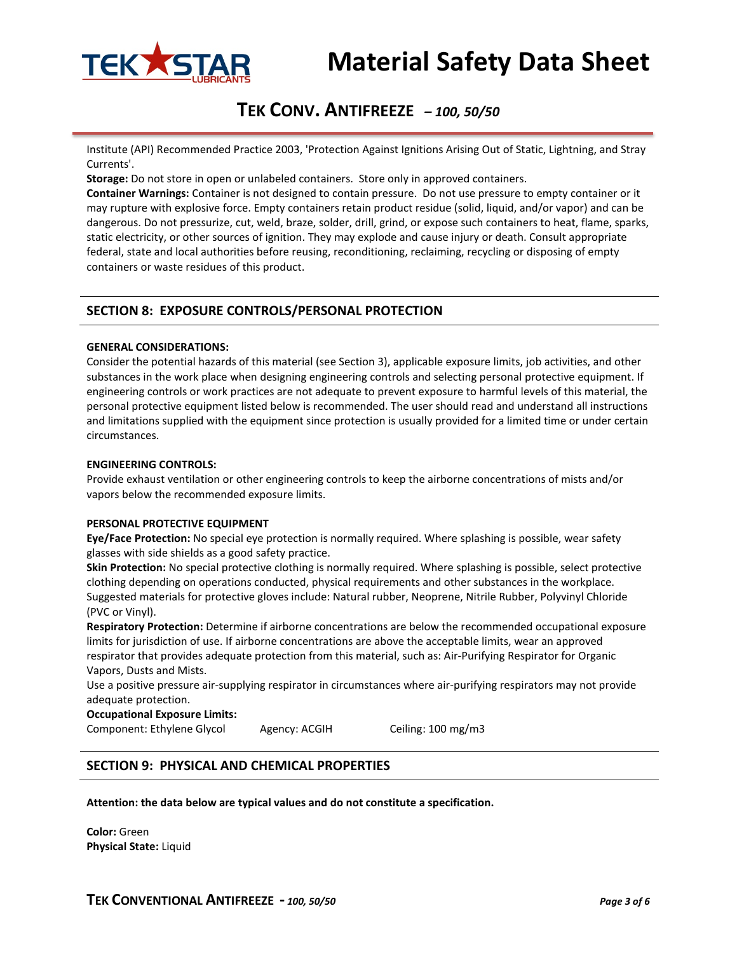

# **TEK CONV. ANTIFREEZE** *– 100, 50/50*

Institute (API) Recommended Practice 2003, 'Protection Against Ignitions Arising Out of Static, Lightning, and Stray Currents'.

**Storage:** Do not store in open or unlabeled containers. Store only in approved containers.

**Container Warnings:** Container is not designed to contain pressure. Do not use pressure to empty container or it may rupture with explosive force. Empty containers retain product residue (solid, liquid, and/or vapor) and can be dangerous. Do not pressurize, cut, weld, braze, solder, drill, grind, or expose such containers to heat, flame, sparks, static electricity, or other sources of ignition. They may explode and cause injury or death. Consult appropriate federal, state and local authorities before reusing, reconditioning, reclaiming, recycling or disposing of empty containers or waste residues of this product.

## **SECTION 8: EXPOSURE CONTROLS/PERSONAL PROTECTION**

#### **GENERAL CONSIDERATIONS:**

Consider the potential hazards of this material (see Section 3), applicable exposure limits, job activities, and other substances in the work place when designing engineering controls and selecting personal protective equipment. If engineering controls or work practices are not adequate to prevent exposure to harmful levels of this material, the personal protective equipment listed below is recommended. The user should read and understand all instructions and limitations supplied with the equipment since protection is usually provided for a limited time or under certain circumstances.

#### **ENGINEERING CONTROLS:**

Provide exhaust ventilation or other engineering controls to keep the airborne concentrations of mists and/or vapors below the recommended exposure limits.

#### **PERSONAL PROTECTIVE EQUIPMENT**

**Eye/Face Protection:** No special eye protection is normally required. Where splashing is possible, wear safety glasses with side shields as a good safety practice.

**Skin Protection:** No special protective clothing is normally required. Where splashing is possible, select protective clothing depending on operations conducted, physical requirements and other substances in the workplace. Suggested materials for protective gloves include: Natural rubber, Neoprene, Nitrile Rubber, Polyvinyl Chloride (PVC or Vinyl).

**Respiratory Protection:** Determine if airborne concentrations are below the recommended occupational exposure limits for jurisdiction of use. If airborne concentrations are above the acceptable limits, wear an approved respirator that provides adequate protection from this material, such as: Air-Purifying Respirator for Organic Vapors, Dusts and Mists.

Use a positive pressure air-supplying respirator in circumstances where air-purifying respirators may not provide adequate protection.

#### **Occupational Exposure Limits:**

Component: Ethylene Glycol Agency: ACGIH Ceiling: 100 mg/m3

### **SECTION 9: PHYSICAL AND CHEMICAL PROPERTIES**

**Attention: the data below are typical values and do not constitute a specification.**

**Color:** Green **Physical State:** Liquid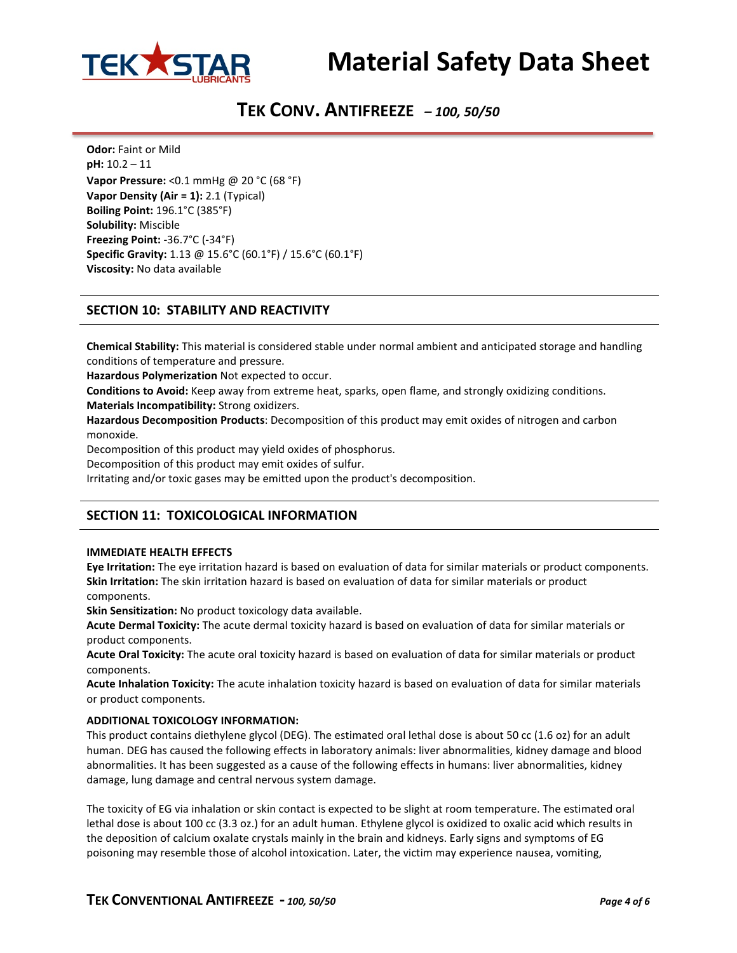

# **TEK CONV. ANTIFREEZE** *– 100, 50/50*

**Odor:** Faint or Mild **pH:** 10.2 – 11 **Vapor Pressure:** <0.1 mmHg @ 20 °C (68 °F) **Vapor Density (Air = 1):** 2.1 (Typical) **Boiling Point:** 196.1°C (385°F) **Solubility:** Miscible **Freezing Point:** -36.7°C (-34°F) **Specific Gravity:** 1.13 @ 15.6°C (60.1°F) / 15.6°C (60.1°F) **Viscosity:** No data available

# **SECTION 10: STABILITY AND REACTIVITY**

**Chemical Stability:** This material is considered stable under normal ambient and anticipated storage and handling conditions of temperature and pressure.

**Hazardous Polymerization** Not expected to occur.

**Conditions to Avoid:** Keep away from extreme heat, sparks, open flame, and strongly oxidizing conditions.

**Materials Incompatibility:** Strong oxidizers.

**Hazardous Decomposition Products**: Decomposition of this product may emit oxides of nitrogen and carbon monoxide.

Decomposition of this product may yield oxides of phosphorus.

Decomposition of this product may emit oxides of sulfur.

Irritating and/or toxic gases may be emitted upon the product's decomposition.

# **SECTION 11: TOXICOLOGICAL INFORMATION**

#### **IMMEDIATE HEALTH EFFECTS**

**Eye Irritation:** The eye irritation hazard is based on evaluation of data for similar materials or product components. **Skin Irritation:** The skin irritation hazard is based on evaluation of data for similar materials or product components.

**Skin Sensitization:** No product toxicology data available.

**Acute Dermal Toxicity:** The acute dermal toxicity hazard is based on evaluation of data for similar materials or product components.

**Acute Oral Toxicity:** The acute oral toxicity hazard is based on evaluation of data for similar materials or product components.

**Acute Inhalation Toxicity:** The acute inhalation toxicity hazard is based on evaluation of data for similar materials or product components.

### **ADDITIONAL TOXICOLOGY INFORMATION:**

This product contains diethylene glycol (DEG). The estimated oral lethal dose is about 50 cc (1.6 oz) for an adult human. DEG has caused the following effects in laboratory animals: liver abnormalities, kidney damage and blood abnormalities. It has been suggested as a cause of the following effects in humans: liver abnormalities, kidney damage, lung damage and central nervous system damage.

The toxicity of EG via inhalation or skin contact is expected to be slight at room temperature. The estimated oral lethal dose is about 100 cc (3.3 oz.) for an adult human. Ethylene glycol is oxidized to oxalic acid which results in the deposition of calcium oxalate crystals mainly in the brain and kidneys. Early signs and symptoms of EG poisoning may resemble those of alcohol intoxication. Later, the victim may experience nausea, vomiting,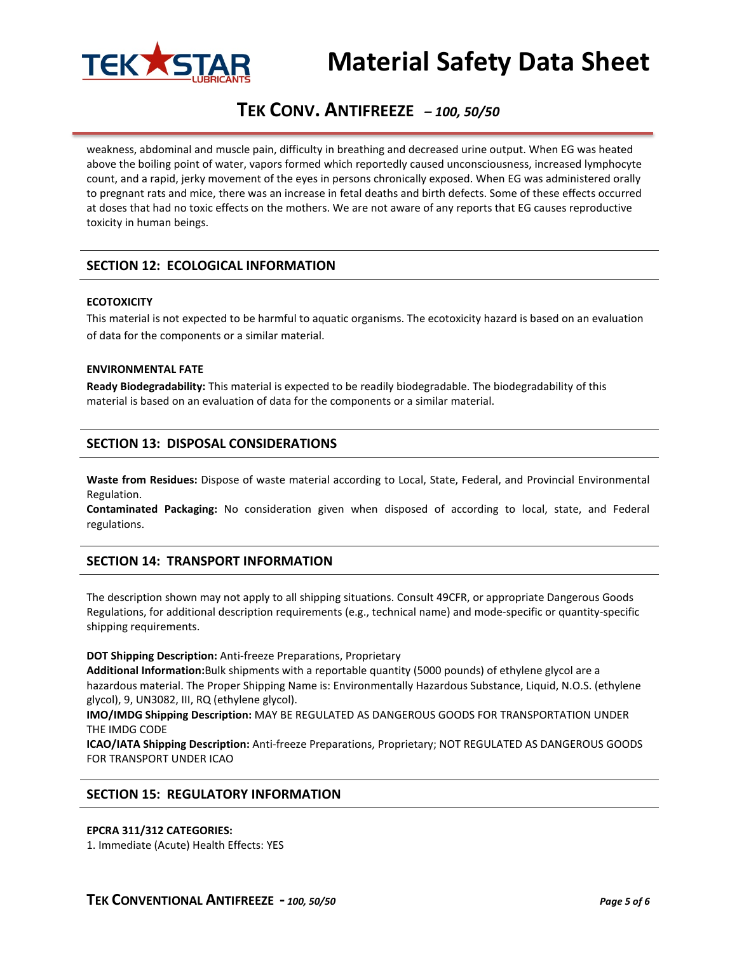

# **TEK CONV. ANTIFREEZE** *– 100, 50/50*

weakness, abdominal and muscle pain, difficulty in breathing and decreased urine output. When EG was heated above the boiling point of water, vapors formed which reportedly caused unconsciousness, increased lymphocyte count, and a rapid, jerky movement of the eyes in persons chronically exposed. When EG was administered orally to pregnant rats and mice, there was an increase in fetal deaths and birth defects. Some of these effects occurred at doses that had no toxic effects on the mothers. We are not aware of any reports that EG causes reproductive toxicity in human beings.

# **SECTION 12: ECOLOGICAL INFORMATION**

#### **ECOTOXICITY**

This material is not expected to be harmful to aquatic organisms. The ecotoxicity hazard is based on an evaluation of data for the components or a similar material.

#### **ENVIRONMENTAL FATE**

**Ready Biodegradability:** This material is expected to be readily biodegradable. The biodegradability of this material is based on an evaluation of data for the components or a similar material.

# **SECTION 13: DISPOSAL CONSIDERATIONS**

**Waste from Residues:** Dispose of waste material according to Local, State, Federal, and Provincial Environmental Regulation.

**Contaminated Packaging:** No consideration given when disposed of according to local, state, and Federal regulations.

# **SECTION 14: TRANSPORT INFORMATION**

The description shown may not apply to all shipping situations. Consult 49CFR, or appropriate Dangerous Goods Regulations, for additional description requirements (e.g., technical name) and mode-specific or quantity-specific shipping requirements.

#### **DOT Shipping Description:** Anti-freeze Preparations, Proprietary

**Additional Information:**Bulk shipments with a reportable quantity (5000 pounds) of ethylene glycol are a hazardous material. The Proper Shipping Name is: Environmentally Hazardous Substance, Liquid, N.O.S. (ethylene glycol), 9, UN3082, III, RQ (ethylene glycol).

**IMO/IMDG Shipping Description:** MAY BE REGULATED AS DANGEROUS GOODS FOR TRANSPORTATION UNDER THE IMDG CODE

**ICAO/IATA Shipping Description:** Anti-freeze Preparations, Proprietary; NOT REGULATED AS DANGEROUS GOODS FOR TRANSPORT UNDER ICAO

# **SECTION 15: REGULATORY INFORMATION**

#### **EPCRA 311/312 CATEGORIES:**

1. Immediate (Acute) Health Effects: YES